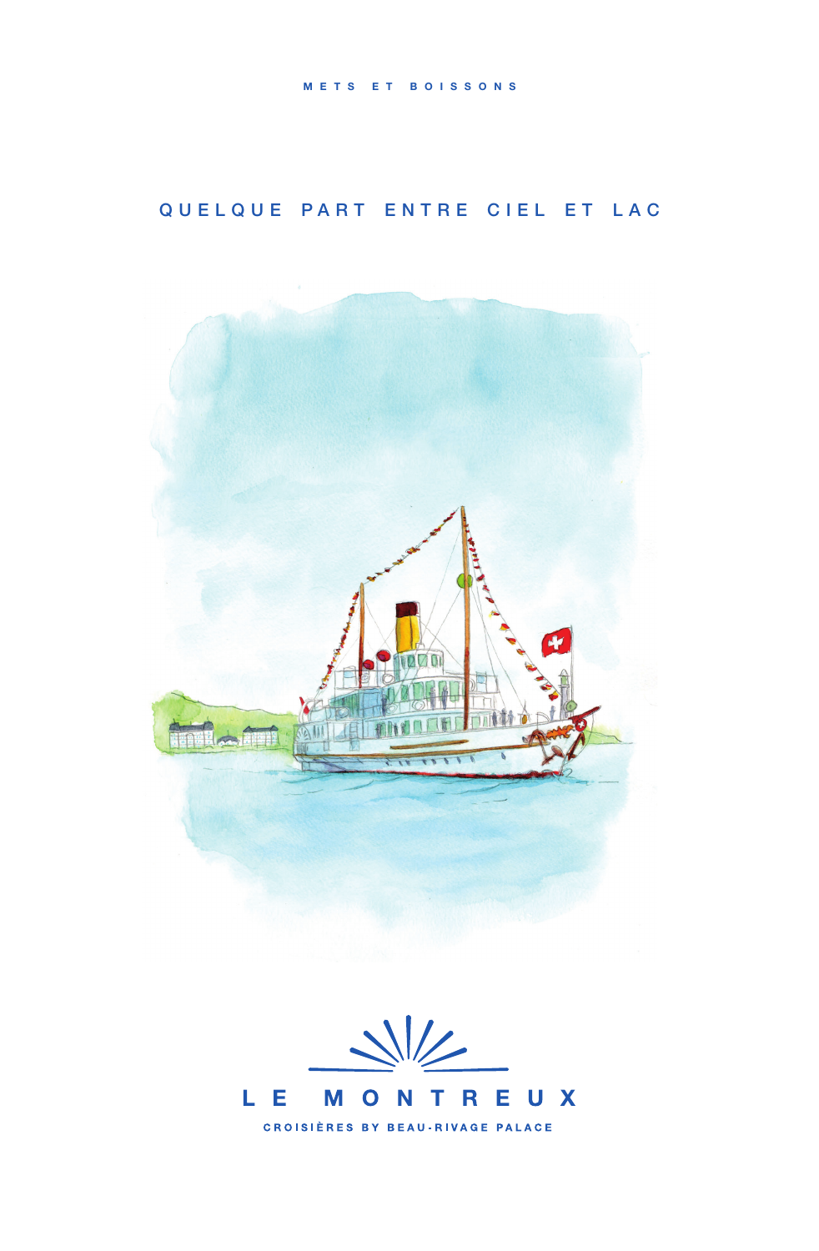# QUELQUE PART ENTRE CIEL ET LAC



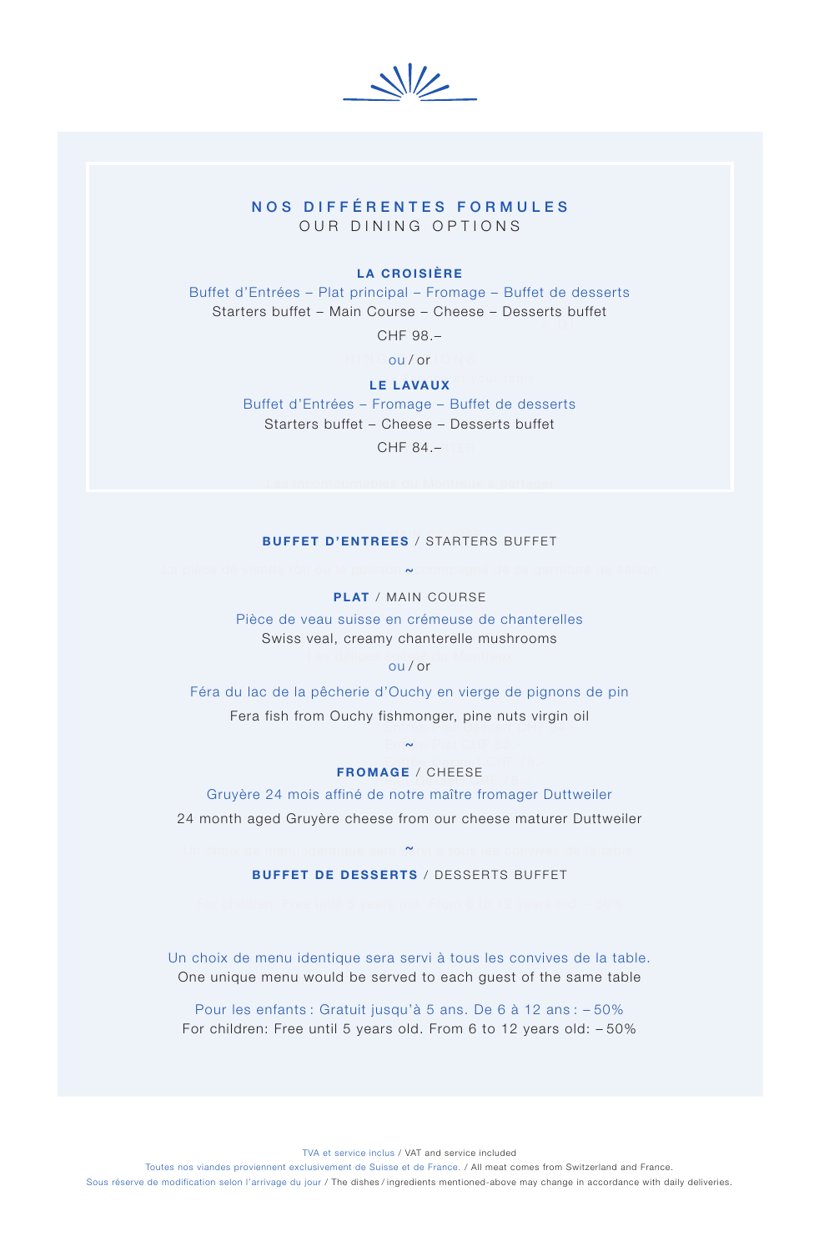$\frac{1}{2}$ 

## NOS DIFFÉRENTES FORMULES OUR DINING OPTIONS

### LA CROISIÈRE

NOS DIFFÉRENTES FORMULES / DI Buffet d'Entrées – Plat principal – Fromage – Buffet de desserts Starters buffet – Main Course – Cheese – Desserts buffet

CHF 98.–

N IN Gou / or I O N S

## **LE LAVAUX** at your table

 $CHF/84.$ – Ter Buffet d'Entrées – Fromage – Buffet de desserts Starters buffet – Cheese – Desserts buffet

## BUFFET D'ENTREES / STARTERS BUFFET

### La pièce de viande rôti ou le poisson **~**ccompagné de sa garniture de saison PLAT / MAIN COURSE ~

Pièce de veau suisse en crémeuse de chanterelles Swiss veal, creamy chanterelle mushrooms

## Les délices sucrés du Montreux<br>**Ou/or**

Entrée-Plat-Dessert / Entrée-Plat-Dessert CHF 94.– Féra du lac de la pêcherie d'Ouchy en vierge de pignons de pin Fera fish from Ouchy fishmonger, pine nuts virgin oil

#### Entrée-Plat CHF 82.– Entrée-Dessert / Entrée-Dessert CHF 78.– FROMAGE / CHEESE ~

Gruyère 24 mois affiné de notre maître fromager Duttweiler 24 month aged Gruyère cheese from our cheese maturer Duttweiler

### Un choix de menu identique sera servi à tous les convives de la table.  $\sim$ BUFFET DE DESSERTS / DESSERTS BUFFET

Un choix de menu identique sera servi à tous les convives de la table. One unique menu would be served to each guest of the same table

Pour les enfants : Gratuit jusqu'à 5 ans. De 6 à 12 ans : – 50% For children: Free until 5 years old. From 6 to 12 years old: – 50%

TVA et service inclus / VAT and service included

Toutes nos viandes proviennent exclusivement de Suisse et de France. / All meat comes from Switzerland and France.

Sous réserve de modification selon l'arrivage du jour / The dishes / ingredients mentioned-above may change in accordance with daily deliveries.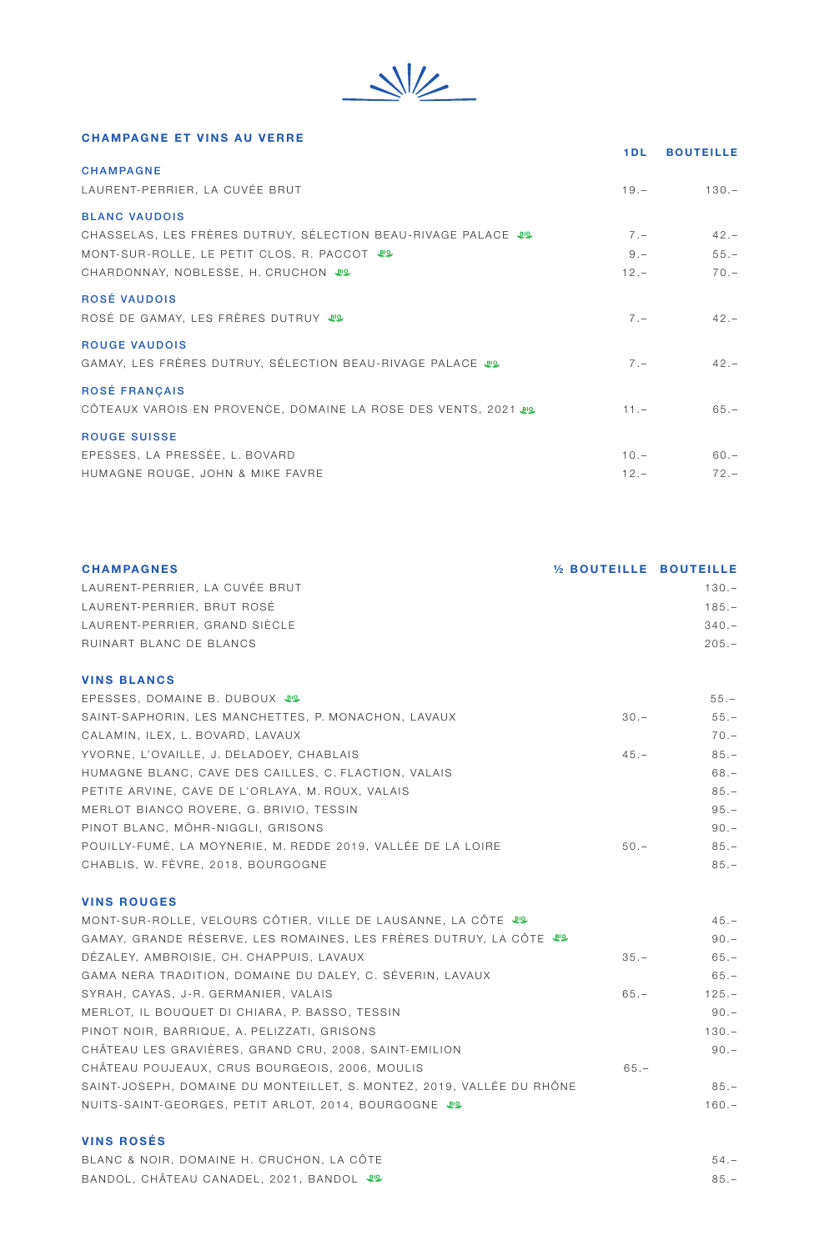$\frac{1}{\sqrt{2}}$ 

## CHAMPAGNE ET VINS AU VERRE

|                                                                                                                                                                            | 1 D L                    | <b>BOUTEILLE</b>            |
|----------------------------------------------------------------------------------------------------------------------------------------------------------------------------|--------------------------|-----------------------------|
| <b>CHAMPAGNE</b><br>LAURENT-PERRIER, LA CUVÉE BRUT                                                                                                                         | $19 -$                   | $130 -$                     |
| <b>BLANC VAUDOIS</b><br>CHASSELAS, LES FRÈRES DUTRUY, SÉLECTION BEAU-RIVAGE PALACE IS<br>MONT-SUR-ROLLE, LE PETIT CLOS, R. PACCOT 89<br>CHARDONNAY, NOBLESSE, H. CRUCHON & | $7 -$<br>$9 -$<br>$12 -$ | $42 -$<br>$55. -$<br>$70 -$ |
| <b>ROSÉ VAUDOIS</b><br>ROSÉ DE GAMAY, LES FRÈRES DUTRUY &                                                                                                                  | $7 -$                    | $42 -$                      |
| <b>ROUGE VAUDOIS</b><br>GAMAY, LES FRÈRES DUTRUY, SÉLECTION BEAU-RIVAGE PALACE &                                                                                           | $7 -$                    | $42 -$                      |
| <b>ROSÉ FRANCAIS</b><br>CÔTEAUX VAROIS EN PROVENCE, DOMAINE LA ROSE DES VENTS, 2021 89                                                                                     | $11. -$                  | $65. -$                     |
| <b>ROUGE SUISSE</b><br>EPESSES, LA PRESSÉE, L. BOVARD<br>HUMAGNE ROUGE, JOHN & MIKE FAVRE                                                                                  | $10 -$<br>$12 -$         | $60 -$<br>$72 -$            |
|                                                                                                                                                                            |                          |                             |

| <b>CHAMPAGNES</b>              | 1/2 BOUTEILLE BOUTEILLE |         |
|--------------------------------|-------------------------|---------|
| LAURENT-PERRIER. LA CUVÉE BRUT |                         | $130 -$ |
| LAURENT-PERRIER, BRUT ROSÉ     |                         | $185 -$ |
| LAURENT-PERRIER, GRAND SIÈCLE  |                         | $340 -$ |
| RUINART BLANC DE BLANCS        |                         | $205 -$ |
|                                |                         |         |
| <b>VINS BLANCS</b>             |                         |         |

| EPESSES, DOMAINE B. DUBOUX UP                                |        | $55. -$ |
|--------------------------------------------------------------|--------|---------|
| SAINT-SAPHORIN, LES MANCHETTES, P. MONACHON, LAVAUX          | $30 -$ | $55. -$ |
| CALAMIN, ILEX, L. BOVARD, LAVAUX                             |        | $70 -$  |
| YVORNE, L'OVAILLE, J. DELADOEY, CHABLAIS                     | $45 -$ | $85 -$  |
| HUMAGNE BLANC, CAVE DES CAILLES, C. FLACTION, VALAIS         |        | $68 -$  |
| PETITE ARVINE, CAVE DE L'ORLAYA, M. ROUX, VALAIS             |        | $85 -$  |
| MERLOT BIANCO ROVERE, G. BRIVIO, TESSIN                      |        | $95 -$  |
| PINOT BLANC, MÖHR-NIGGLI, GRISONS                            |        | $90 -$  |
| POUILLY-FUMÉ. LA MOYNERIE. M. REDDE 2019. VALLÉE DE LA LOIRE | $50 -$ | $85 -$  |
| CHABLIS, W. FÈVRE, 2018, BOURGOGNE                           |        | $85 -$  |

## VINS ROUGES

| MONT-SUR-ROLLE, VELOURS CÔTIER, VILLE DE LAUSANNE, LA CÔTE 89         |        | $45 -$  |
|-----------------------------------------------------------------------|--------|---------|
| GAMAY, GRANDE RÉSERVE, LES ROMAINES, LES FRÈRES DUTRUY, LA CÔTE       |        | $90 -$  |
| DÉZALEY, AMBROISIE, CH. CHAPPUIS, LAVAUX                              | $35 -$ | $65. -$ |
| GAMA NERA TRADITION, DOMAINE DU DALEY, C. SÉVERIN, LAVAUX             |        | $65. -$ |
| SYRAH, CAYAS, J-R. GERMANIER, VALAIS                                  | $65 -$ | $125 -$ |
| MERLOT, IL BOUQUET DI CHIARA, P. BASSO, TESSIN                        |        | $90 -$  |
| PINOT NOIR, BARRIQUE, A. PELIZZATI, GRISONS                           |        | $130 -$ |
| CHÂTEAU LES GRAVIÈRES, GRAND CRU, 2008, SAINT-EMILION                 |        | $90 -$  |
| CHÂTEAU POUJEAUX, CRUS BOURGEOIS, 2006, MOULIS                        | $65 -$ |         |
| SAINT-JOSEPH, DOMAINE DU MONTEILLET, S. MONTEZ, 2019, VALLÉE DU RHÔNE |        | $85 -$  |
| NUITS-SAINT-GEORGES, PETIT ARLOT, 2014, BOURGOGNE                     |        | $160 -$ |

## VINS ROSÉS

| BLANC & NOIR, DOMAINE H. CRUCHON, LA CÔTE | $54 -$ |
|-------------------------------------------|--------|
| BANDOL, CHÂTEAU CANADEL, 2021, BANDOL &   | $85 -$ |